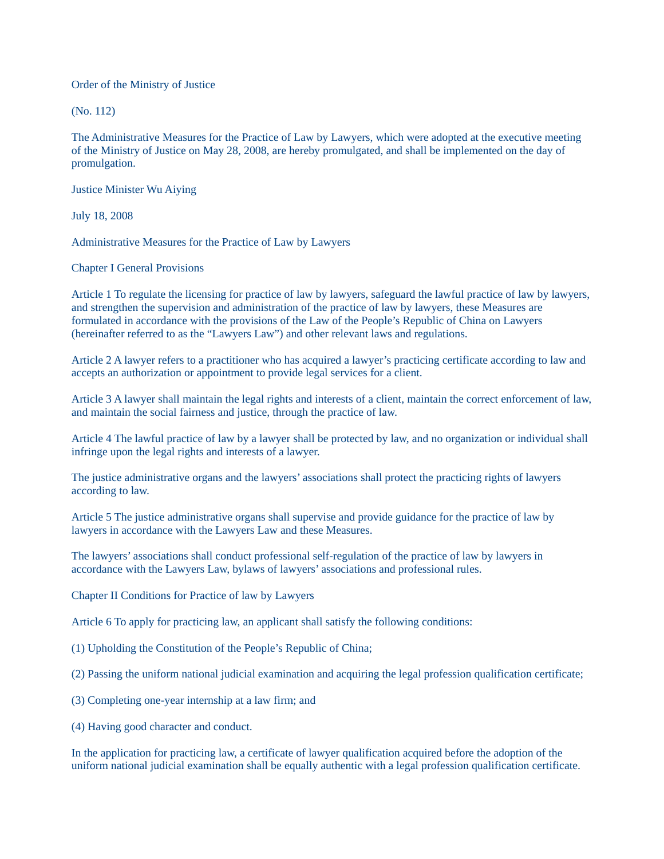Order of the Ministry of Justice

(No. 112)

The Administrative Measures for the Practice of Law by Lawyers, which were adopted at the executive meeting of the Ministry of Justice on May 28, 2008, are hereby promulgated, and shall be implemented on the day of promulgation.

Justice Minister Wu Aiying

July 18, 2008

Administrative Measures for the Practice of Law by Lawyers

Chapter I General Provisions

Article 1 To regulate the licensing for practice of law by lawyers, safeguard the lawful practice of law by lawyers, and strengthen the supervision and administration of the practice of law by lawyers, these Measures are formulated in accordance with the provisions of the Law of the People's Republic of China on Lawyers (hereinafter referred to as the "Lawyers Law") and other relevant laws and regulations.

Article 2 A lawyer refers to a practitioner who has acquired a lawyer's practicing certificate according to law and accepts an authorization or appointment to provide legal services for a client.

Article 3 A lawyer shall maintain the legal rights and interests of a client, maintain the correct enforcement of law, and maintain the social fairness and justice, through the practice of law.

Article 4 The lawful practice of law by a lawyer shall be protected by law, and no organization or individual shall infringe upon the legal rights and interests of a lawyer.

The justice administrative organs and the lawyers' associations shall protect the practicing rights of lawyers according to law.

Article 5 The justice administrative organs shall supervise and provide guidance for the practice of law by lawyers in accordance with the Lawyers Law and these Measures.

The lawyers' associations shall conduct professional self-regulation of the practice of law by lawyers in accordance with the Lawyers Law, bylaws of lawyers' associations and professional rules.

Chapter II Conditions for Practice of law by Lawyers

Article 6 To apply for practicing law, an applicant shall satisfy the following conditions:

- (1) Upholding the Constitution of the People's Republic of China;
- (2) Passing the uniform national judicial examination and acquiring the legal profession qualification certificate;
- (3) Completing one-year internship at a law firm; and
- (4) Having good character and conduct.

In the application for practicing law, a certificate of lawyer qualification acquired before the adoption of the uniform national judicial examination shall be equally authentic with a legal profession qualification certificate.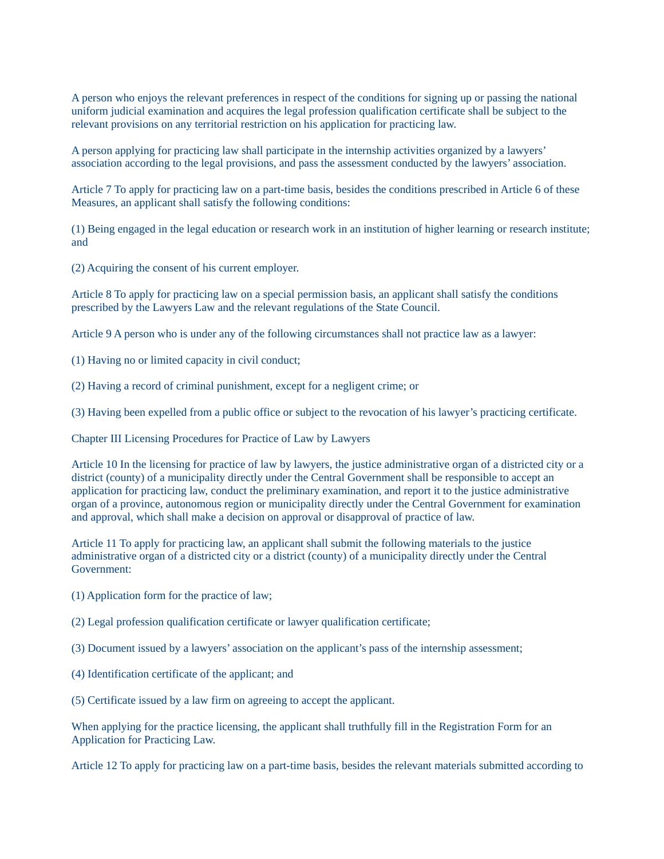A person who enjoys the relevant preferences in respect of the conditions for signing up or passing the national uniform judicial examination and acquires the legal profession qualification certificate shall be subject to the relevant provisions on any territorial restriction on his application for practicing law.

A person applying for practicing law shall participate in the internship activities organized by a lawyers' association according to the legal provisions, and pass the assessment conducted by the lawyers' association.

Article 7 To apply for practicing law on a part-time basis, besides the conditions prescribed in Article 6 of these Measures, an applicant shall satisfy the following conditions:

(1) Being engaged in the legal education or research work in an institution of higher learning or research institute; and

(2) Acquiring the consent of his current employer.

Article 8 To apply for practicing law on a special permission basis, an applicant shall satisfy the conditions prescribed by the Lawyers Law and the relevant regulations of the State Council.

Article 9 A person who is under any of the following circumstances shall not practice law as a lawyer:

- (1) Having no or limited capacity in civil conduct;
- (2) Having a record of criminal punishment, except for a negligent crime; or

(3) Having been expelled from a public office or subject to the revocation of his lawyer's practicing certificate.

Chapter III Licensing Procedures for Practice of Law by Lawyers

Article 10 In the licensing for practice of law by lawyers, the justice administrative organ of a districted city or a district (county) of a municipality directly under the Central Government shall be responsible to accept an application for practicing law, conduct the preliminary examination, and report it to the justice administrative organ of a province, autonomous region or municipality directly under the Central Government for examination and approval, which shall make a decision on approval or disapproval of practice of law.

Article 11 To apply for practicing law, an applicant shall submit the following materials to the justice administrative organ of a districted city or a district (county) of a municipality directly under the Central Government:

- (1) Application form for the practice of law;
- (2) Legal profession qualification certificate or lawyer qualification certificate;
- (3) Document issued by a lawyers' association on the applicant's pass of the internship assessment;
- (4) Identification certificate of the applicant; and

(5) Certificate issued by a law firm on agreeing to accept the applicant.

When applying for the practice licensing, the applicant shall truthfully fill in the Registration Form for an Application for Practicing Law.

Article 12 To apply for practicing law on a part-time basis, besides the relevant materials submitted according to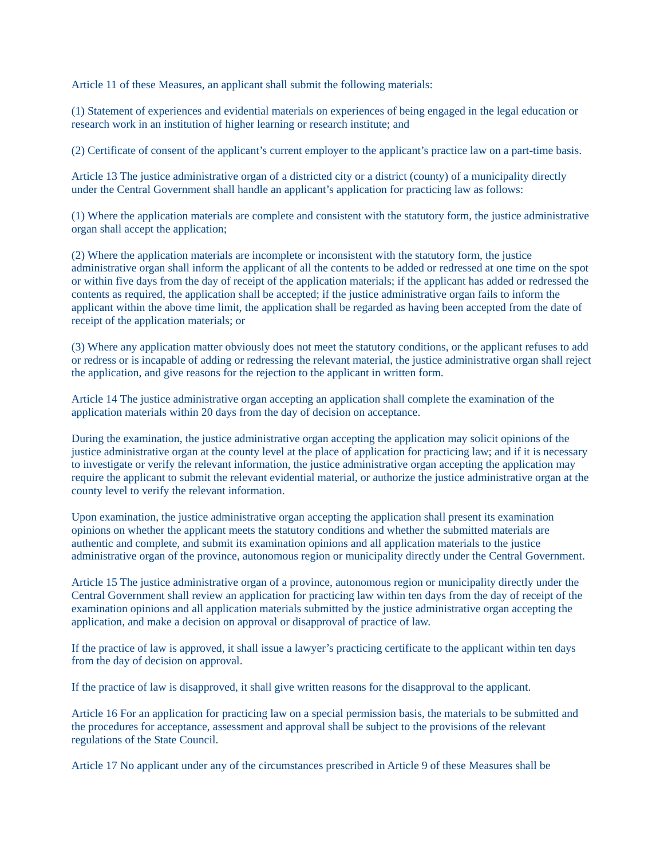Article 11 of these Measures, an applicant shall submit the following materials:

(1) Statement of experiences and evidential materials on experiences of being engaged in the legal education or research work in an institution of higher learning or research institute; and

(2) Certificate of consent of the applicant's current employer to the applicant's practice law on a part-time basis.

Article 13 The justice administrative organ of a districted city or a district (county) of a municipality directly under the Central Government shall handle an applicant's application for practicing law as follows:

(1) Where the application materials are complete and consistent with the statutory form, the justice administrative organ shall accept the application;

(2) Where the application materials are incomplete or inconsistent with the statutory form, the justice administrative organ shall inform the applicant of all the contents to be added or redressed at one time on the spot or within five days from the day of receipt of the application materials; if the applicant has added or redressed the contents as required, the application shall be accepted; if the justice administrative organ fails to inform the applicant within the above time limit, the application shall be regarded as having been accepted from the date of receipt of the application materials; or

(3) Where any application matter obviously does not meet the statutory conditions, or the applicant refuses to add or redress or is incapable of adding or redressing the relevant material, the justice administrative organ shall reject the application, and give reasons for the rejection to the applicant in written form.

Article 14 The justice administrative organ accepting an application shall complete the examination of the application materials within 20 days from the day of decision on acceptance.

During the examination, the justice administrative organ accepting the application may solicit opinions of the justice administrative organ at the county level at the place of application for practicing law; and if it is necessary to investigate or verify the relevant information, the justice administrative organ accepting the application may require the applicant to submit the relevant evidential material, or authorize the justice administrative organ at the county level to verify the relevant information.

Upon examination, the justice administrative organ accepting the application shall present its examination opinions on whether the applicant meets the statutory conditions and whether the submitted materials are authentic and complete, and submit its examination opinions and all application materials to the justice administrative organ of the province, autonomous region or municipality directly under the Central Government.

Article 15 The justice administrative organ of a province, autonomous region or municipality directly under the Central Government shall review an application for practicing law within ten days from the day of receipt of the examination opinions and all application materials submitted by the justice administrative organ accepting the application, and make a decision on approval or disapproval of practice of law.

If the practice of law is approved, it shall issue a lawyer's practicing certificate to the applicant within ten days from the day of decision on approval.

If the practice of law is disapproved, it shall give written reasons for the disapproval to the applicant.

Article 16 For an application for practicing law on a special permission basis, the materials to be submitted and the procedures for acceptance, assessment and approval shall be subject to the provisions of the relevant regulations of the State Council.

Article 17 No applicant under any of the circumstances prescribed in Article 9 of these Measures shall be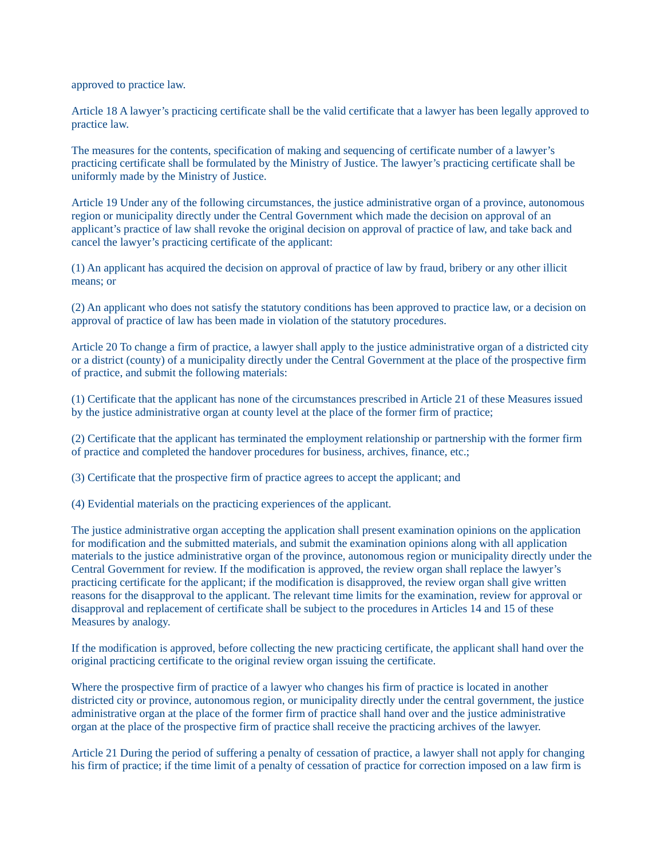approved to practice law.

Article 18 A lawyer's practicing certificate shall be the valid certificate that a lawyer has been legally approved to practice law.

The measures for the contents, specification of making and sequencing of certificate number of a lawyer's practicing certificate shall be formulated by the Ministry of Justice. The lawyer's practicing certificate shall be uniformly made by the Ministry of Justice.

Article 19 Under any of the following circumstances, the justice administrative organ of a province, autonomous region or municipality directly under the Central Government which made the decision on approval of an applicant's practice of law shall revoke the original decision on approval of practice of law, and take back and cancel the lawyer's practicing certificate of the applicant:

(1) An applicant has acquired the decision on approval of practice of law by fraud, bribery or any other illicit means; or

(2) An applicant who does not satisfy the statutory conditions has been approved to practice law, or a decision on approval of practice of law has been made in violation of the statutory procedures.

Article 20 To change a firm of practice, a lawyer shall apply to the justice administrative organ of a districted city or a district (county) of a municipality directly under the Central Government at the place of the prospective firm of practice, and submit the following materials:

(1) Certificate that the applicant has none of the circumstances prescribed in Article 21 of these Measures issued by the justice administrative organ at county level at the place of the former firm of practice;

(2) Certificate that the applicant has terminated the employment relationship or partnership with the former firm of practice and completed the handover procedures for business, archives, finance, etc.;

(3) Certificate that the prospective firm of practice agrees to accept the applicant; and

(4) Evidential materials on the practicing experiences of the applicant.

The justice administrative organ accepting the application shall present examination opinions on the application for modification and the submitted materials, and submit the examination opinions along with all application materials to the justice administrative organ of the province, autonomous region or municipality directly under the Central Government for review. If the modification is approved, the review organ shall replace the lawyer's practicing certificate for the applicant; if the modification is disapproved, the review organ shall give written reasons for the disapproval to the applicant. The relevant time limits for the examination, review for approval or disapproval and replacement of certificate shall be subject to the procedures in Articles 14 and 15 of these Measures by analogy.

If the modification is approved, before collecting the new practicing certificate, the applicant shall hand over the original practicing certificate to the original review organ issuing the certificate.

Where the prospective firm of practice of a lawyer who changes his firm of practice is located in another districted city or province, autonomous region, or municipality directly under the central government, the justice administrative organ at the place of the former firm of practice shall hand over and the justice administrative organ at the place of the prospective firm of practice shall receive the practicing archives of the lawyer.

Article 21 During the period of suffering a penalty of cessation of practice, a lawyer shall not apply for changing his firm of practice; if the time limit of a penalty of cessation of practice for correction imposed on a law firm is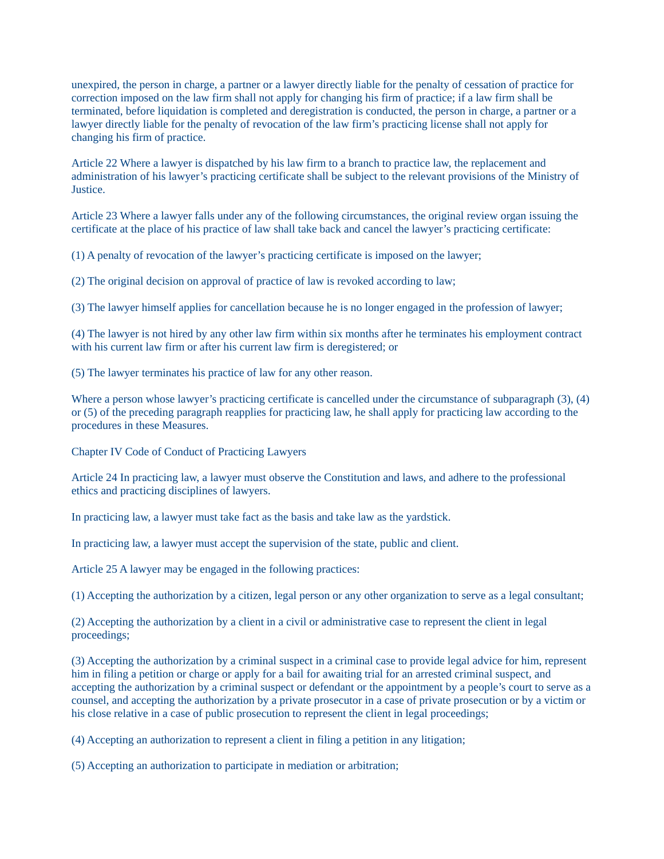unexpired, the person in charge, a partner or a lawyer directly liable for the penalty of cessation of practice for correction imposed on the law firm shall not apply for changing his firm of practice; if a law firm shall be terminated, before liquidation is completed and deregistration is conducted, the person in charge, a partner or a lawyer directly liable for the penalty of revocation of the law firm's practicing license shall not apply for changing his firm of practice.

Article 22 Where a lawyer is dispatched by his law firm to a branch to practice law, the replacement and administration of his lawyer's practicing certificate shall be subject to the relevant provisions of the Ministry of Justice.

Article 23 Where a lawyer falls under any of the following circumstances, the original review organ issuing the certificate at the place of his practice of law shall take back and cancel the lawyer's practicing certificate:

(1) A penalty of revocation of the lawyer's practicing certificate is imposed on the lawyer;

(2) The original decision on approval of practice of law is revoked according to law;

(3) The lawyer himself applies for cancellation because he is no longer engaged in the profession of lawyer;

(4) The lawyer is not hired by any other law firm within six months after he terminates his employment contract with his current law firm or after his current law firm is deregistered; or

(5) The lawyer terminates his practice of law for any other reason.

Where a person whose lawyer's practicing certificate is cancelled under the circumstance of subparagraph (3), (4) or (5) of the preceding paragraph reapplies for practicing law, he shall apply for practicing law according to the procedures in these Measures.

Chapter IV Code of Conduct of Practicing Lawyers

Article 24 In practicing law, a lawyer must observe the Constitution and laws, and adhere to the professional ethics and practicing disciplines of lawyers.

In practicing law, a lawyer must take fact as the basis and take law as the yardstick.

In practicing law, a lawyer must accept the supervision of the state, public and client.

Article 25 A lawyer may be engaged in the following practices:

(1) Accepting the authorization by a citizen, legal person or any other organization to serve as a legal consultant;

(2) Accepting the authorization by a client in a civil or administrative case to represent the client in legal proceedings;

(3) Accepting the authorization by a criminal suspect in a criminal case to provide legal advice for him, represent him in filing a petition or charge or apply for a bail for awaiting trial for an arrested criminal suspect, and accepting the authorization by a criminal suspect or defendant or the appointment by a people's court to serve as a counsel, and accepting the authorization by a private prosecutor in a case of private prosecution or by a victim or his close relative in a case of public prosecution to represent the client in legal proceedings;

(4) Accepting an authorization to represent a client in filing a petition in any litigation;

(5) Accepting an authorization to participate in mediation or arbitration;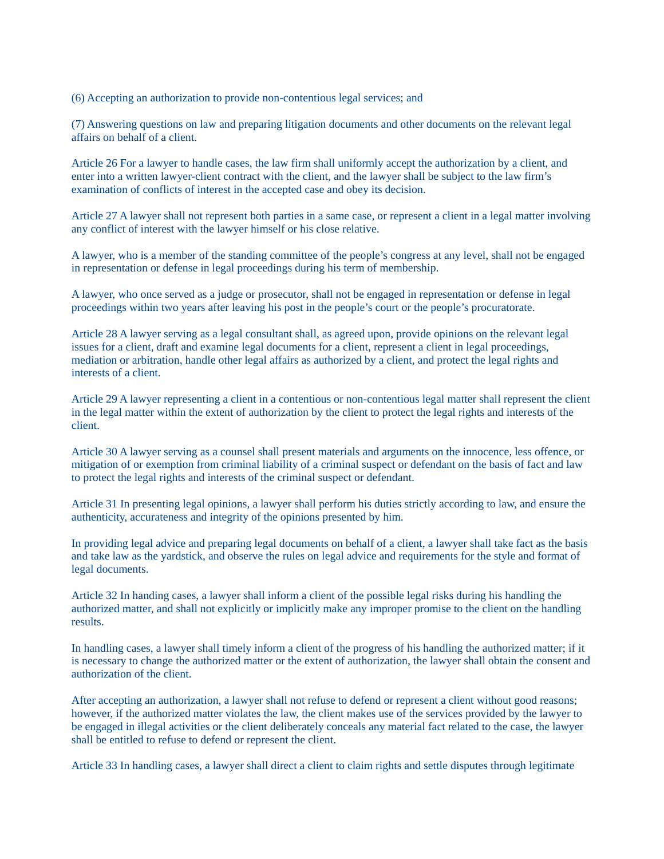(6) Accepting an authorization to provide non-contentious legal services; and

(7) Answering questions on law and preparing litigation documents and other documents on the relevant legal affairs on behalf of a client.

Article 26 For a lawyer to handle cases, the law firm shall uniformly accept the authorization by a client, and enter into a written lawyer-client contract with the client, and the lawyer shall be subject to the law firm's examination of conflicts of interest in the accepted case and obey its decision.

Article 27 A lawyer shall not represent both parties in a same case, or represent a client in a legal matter involving any conflict of interest with the lawyer himself or his close relative.

A lawyer, who is a member of the standing committee of the people's congress at any level, shall not be engaged in representation or defense in legal proceedings during his term of membership.

A lawyer, who once served as a judge or prosecutor, shall not be engaged in representation or defense in legal proceedings within two years after leaving his post in the people's court or the people's procuratorate.

Article 28 A lawyer serving as a legal consultant shall, as agreed upon, provide opinions on the relevant legal issues for a client, draft and examine legal documents for a client, represent a client in legal proceedings, mediation or arbitration, handle other legal affairs as authorized by a client, and protect the legal rights and interests of a client.

Article 29 A lawyer representing a client in a contentious or non-contentious legal matter shall represent the client in the legal matter within the extent of authorization by the client to protect the legal rights and interests of the client.

Article 30 A lawyer serving as a counsel shall present materials and arguments on the innocence, less offence, or mitigation of or exemption from criminal liability of a criminal suspect or defendant on the basis of fact and law to protect the legal rights and interests of the criminal suspect or defendant.

Article 31 In presenting legal opinions, a lawyer shall perform his duties strictly according to law, and ensure the authenticity, accurateness and integrity of the opinions presented by him.

In providing legal advice and preparing legal documents on behalf of a client, a lawyer shall take fact as the basis and take law as the yardstick, and observe the rules on legal advice and requirements for the style and format of legal documents.

Article 32 In handing cases, a lawyer shall inform a client of the possible legal risks during his handling the authorized matter, and shall not explicitly or implicitly make any improper promise to the client on the handling results.

In handling cases, a lawyer shall timely inform a client of the progress of his handling the authorized matter; if it is necessary to change the authorized matter or the extent of authorization, the lawyer shall obtain the consent and authorization of the client.

After accepting an authorization, a lawyer shall not refuse to defend or represent a client without good reasons; however, if the authorized matter violates the law, the client makes use of the services provided by the lawyer to be engaged in illegal activities or the client deliberately conceals any material fact related to the case, the lawyer shall be entitled to refuse to defend or represent the client.

Article 33 In handling cases, a lawyer shall direct a client to claim rights and settle disputes through legitimate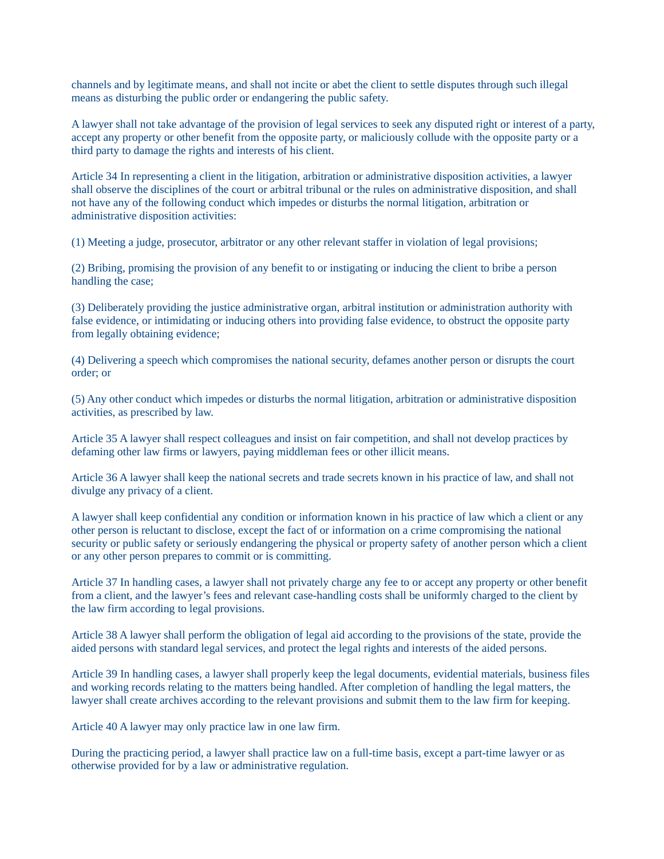channels and by legitimate means, and shall not incite or abet the client to settle disputes through such illegal means as disturbing the public order or endangering the public safety.

A lawyer shall not take advantage of the provision of legal services to seek any disputed right or interest of a party, accept any property or other benefit from the opposite party, or maliciously collude with the opposite party or a third party to damage the rights and interests of his client.

Article 34 In representing a client in the litigation, arbitration or administrative disposition activities, a lawyer shall observe the disciplines of the court or arbitral tribunal or the rules on administrative disposition, and shall not have any of the following conduct which impedes or disturbs the normal litigation, arbitration or administrative disposition activities:

(1) Meeting a judge, prosecutor, arbitrator or any other relevant staffer in violation of legal provisions;

(2) Bribing, promising the provision of any benefit to or instigating or inducing the client to bribe a person handling the case;

(3) Deliberately providing the justice administrative organ, arbitral institution or administration authority with false evidence, or intimidating or inducing others into providing false evidence, to obstruct the opposite party from legally obtaining evidence;

(4) Delivering a speech which compromises the national security, defames another person or disrupts the court order; or

(5) Any other conduct which impedes or disturbs the normal litigation, arbitration or administrative disposition activities, as prescribed by law.

Article 35 A lawyer shall respect colleagues and insist on fair competition, and shall not develop practices by defaming other law firms or lawyers, paying middleman fees or other illicit means.

Article 36 A lawyer shall keep the national secrets and trade secrets known in his practice of law, and shall not divulge any privacy of a client.

A lawyer shall keep confidential any condition or information known in his practice of law which a client or any other person is reluctant to disclose, except the fact of or information on a crime compromising the national security or public safety or seriously endangering the physical or property safety of another person which a client or any other person prepares to commit or is committing.

Article 37 In handling cases, a lawyer shall not privately charge any fee to or accept any property or other benefit from a client, and the lawyer's fees and relevant case-handling costs shall be uniformly charged to the client by the law firm according to legal provisions.

Article 38 A lawyer shall perform the obligation of legal aid according to the provisions of the state, provide the aided persons with standard legal services, and protect the legal rights and interests of the aided persons.

Article 39 In handling cases, a lawyer shall properly keep the legal documents, evidential materials, business files and working records relating to the matters being handled. After completion of handling the legal matters, the lawyer shall create archives according to the relevant provisions and submit them to the law firm for keeping.

Article 40 A lawyer may only practice law in one law firm.

During the practicing period, a lawyer shall practice law on a full-time basis, except a part-time lawyer or as otherwise provided for by a law or administrative regulation.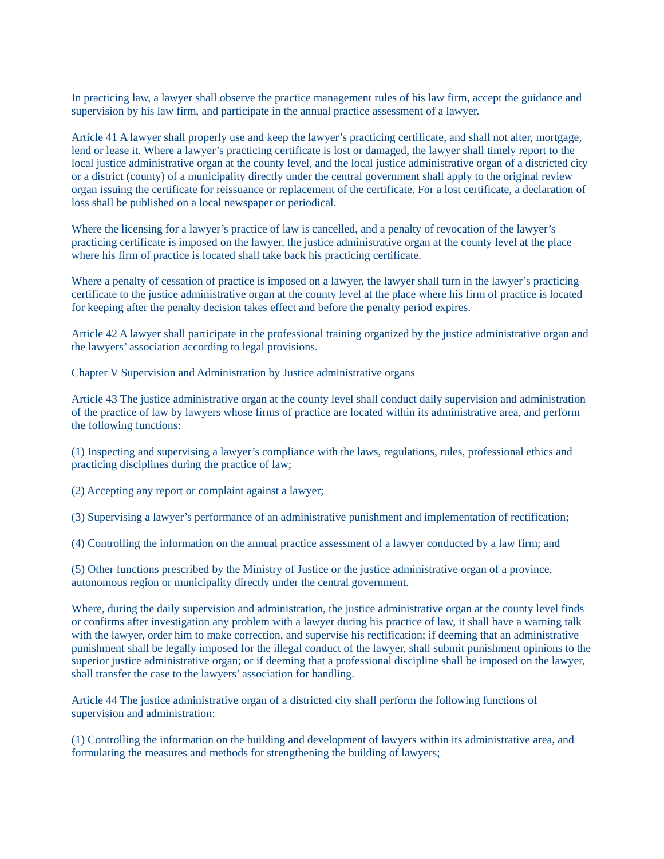In practicing law, a lawyer shall observe the practice management rules of his law firm, accept the guidance and supervision by his law firm, and participate in the annual practice assessment of a lawyer.

Article 41 A lawyer shall properly use and keep the lawyer's practicing certificate, and shall not alter, mortgage, lend or lease it. Where a lawyer's practicing certificate is lost or damaged, the lawyer shall timely report to the local justice administrative organ at the county level, and the local justice administrative organ of a districted city or a district (county) of a municipality directly under the central government shall apply to the original review organ issuing the certificate for reissuance or replacement of the certificate. For a lost certificate, a declaration of loss shall be published on a local newspaper or periodical.

Where the licensing for a lawyer's practice of law is cancelled, and a penalty of revocation of the lawyer's practicing certificate is imposed on the lawyer, the justice administrative organ at the county level at the place where his firm of practice is located shall take back his practicing certificate.

Where a penalty of cessation of practice is imposed on a lawyer, the lawyer shall turn in the lawyer's practicing certificate to the justice administrative organ at the county level at the place where his firm of practice is located for keeping after the penalty decision takes effect and before the penalty period expires.

Article 42 A lawyer shall participate in the professional training organized by the justice administrative organ and the lawyers' association according to legal provisions.

Chapter V Supervision and Administration by Justice administrative organs

Article 43 The justice administrative organ at the county level shall conduct daily supervision and administration of the practice of law by lawyers whose firms of practice are located within its administrative area, and perform the following functions:

(1) Inspecting and supervising a lawyer's compliance with the laws, regulations, rules, professional ethics and practicing disciplines during the practice of law;

(2) Accepting any report or complaint against a lawyer;

(3) Supervising a lawyer's performance of an administrative punishment and implementation of rectification;

(4) Controlling the information on the annual practice assessment of a lawyer conducted by a law firm; and

(5) Other functions prescribed by the Ministry of Justice or the justice administrative organ of a province, autonomous region or municipality directly under the central government.

Where, during the daily supervision and administration, the justice administrative organ at the county level finds or confirms after investigation any problem with a lawyer during his practice of law, it shall have a warning talk with the lawyer, order him to make correction, and supervise his rectification; if deeming that an administrative punishment shall be legally imposed for the illegal conduct of the lawyer, shall submit punishment opinions to the superior justice administrative organ; or if deeming that a professional discipline shall be imposed on the lawyer, shall transfer the case to the lawyers' association for handling.

Article 44 The justice administrative organ of a districted city shall perform the following functions of supervision and administration:

(1) Controlling the information on the building and development of lawyers within its administrative area, and formulating the measures and methods for strengthening the building of lawyers;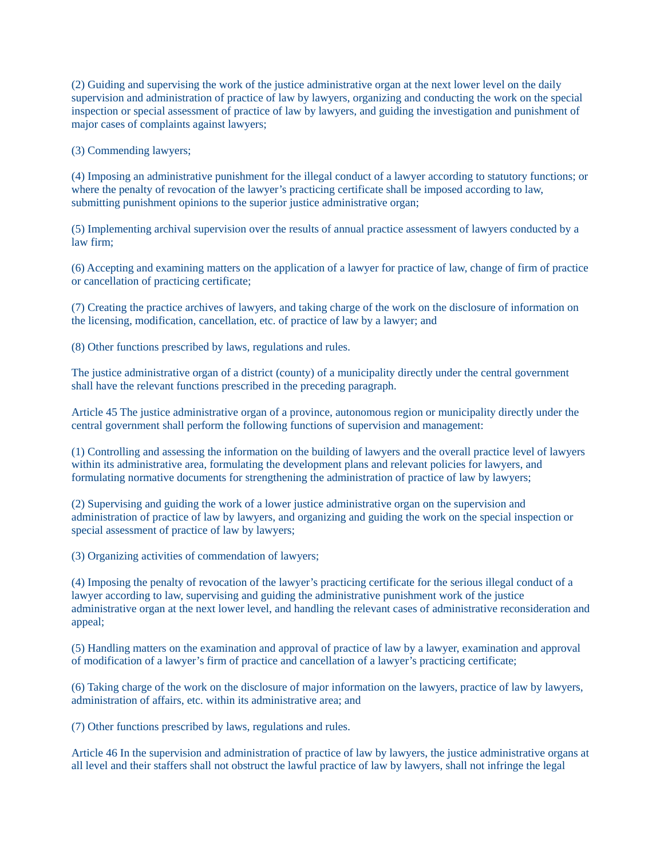(2) Guiding and supervising the work of the justice administrative organ at the next lower level on the daily supervision and administration of practice of law by lawyers, organizing and conducting the work on the special inspection or special assessment of practice of law by lawyers, and guiding the investigation and punishment of major cases of complaints against lawyers;

(3) Commending lawyers;

(4) Imposing an administrative punishment for the illegal conduct of a lawyer according to statutory functions; or where the penalty of revocation of the lawyer's practicing certificate shall be imposed according to law, submitting punishment opinions to the superior justice administrative organ;

(5) Implementing archival supervision over the results of annual practice assessment of lawyers conducted by a law firm;

(6) Accepting and examining matters on the application of a lawyer for practice of law, change of firm of practice or cancellation of practicing certificate;

(7) Creating the practice archives of lawyers, and taking charge of the work on the disclosure of information on the licensing, modification, cancellation, etc. of practice of law by a lawyer; and

(8) Other functions prescribed by laws, regulations and rules.

The justice administrative organ of a district (county) of a municipality directly under the central government shall have the relevant functions prescribed in the preceding paragraph.

Article 45 The justice administrative organ of a province, autonomous region or municipality directly under the central government shall perform the following functions of supervision and management:

(1) Controlling and assessing the information on the building of lawyers and the overall practice level of lawyers within its administrative area, formulating the development plans and relevant policies for lawyers, and formulating normative documents for strengthening the administration of practice of law by lawyers;

(2) Supervising and guiding the work of a lower justice administrative organ on the supervision and administration of practice of law by lawyers, and organizing and guiding the work on the special inspection or special assessment of practice of law by lawyers;

(3) Organizing activities of commendation of lawyers;

(4) Imposing the penalty of revocation of the lawyer's practicing certificate for the serious illegal conduct of a lawyer according to law, supervising and guiding the administrative punishment work of the justice administrative organ at the next lower level, and handling the relevant cases of administrative reconsideration and appeal;

(5) Handling matters on the examination and approval of practice of law by a lawyer, examination and approval of modification of a lawyer's firm of practice and cancellation of a lawyer's practicing certificate;

(6) Taking charge of the work on the disclosure of major information on the lawyers, practice of law by lawyers, administration of affairs, etc. within its administrative area; and

(7) Other functions prescribed by laws, regulations and rules.

Article 46 In the supervision and administration of practice of law by lawyers, the justice administrative organs at all level and their staffers shall not obstruct the lawful practice of law by lawyers, shall not infringe the legal